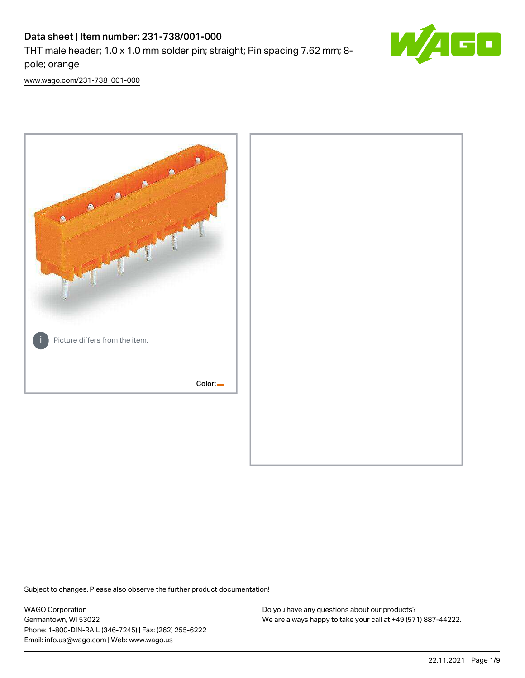## Data sheet | Item number: 231-738/001-000

THT male header; 1.0 x 1.0 mm solder pin; straight; Pin spacing 7.62 mm; 8 pole; orange



[www.wago.com/231-738\\_001-000](http://www.wago.com/231-738_001-000)



Subject to changes. Please also observe the further product documentation!

WAGO Corporation Germantown, WI 53022 Phone: 1-800-DIN-RAIL (346-7245) | Fax: (262) 255-6222 Email: info.us@wago.com | Web: www.wago.us

Do you have any questions about our products? We are always happy to take your call at +49 (571) 887-44222.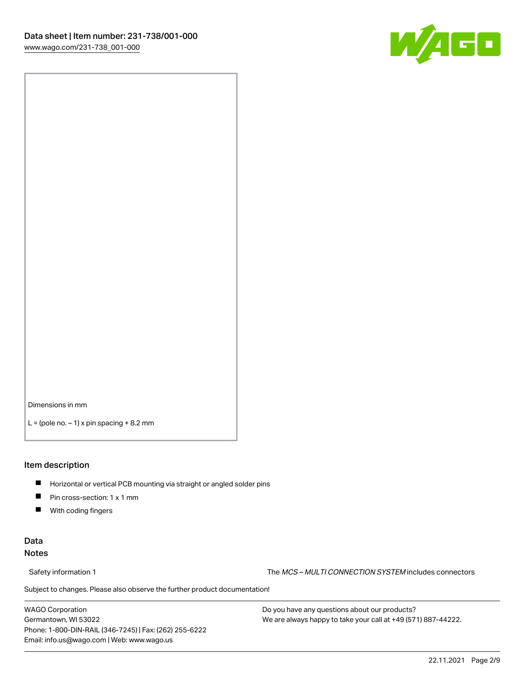

Dimensions in mm

 $L =$  (pole no.  $-1$ ) x pin spacing  $+8.2$  mm

## Item description

- **Horizontal or vertical PCB mounting via straight or angled solder pins**
- **Pin cross-section: 1 x 1 mm**
- $\blacksquare$ With coding fingers

## Data Notes

Safety information 1 The MCS – MULTI CONNECTION SYSTEM includes connectors

Subject to changes. Please also observe the further product documentation!  $\nu$ 

WAGO Corporation Germantown, WI 53022 Phone: 1-800-DIN-RAIL (346-7245) | Fax: (262) 255-6222 Email: info.us@wago.com | Web: www.wago.us

Do you have any questions about our products? We are always happy to take your call at +49 (571) 887-44222.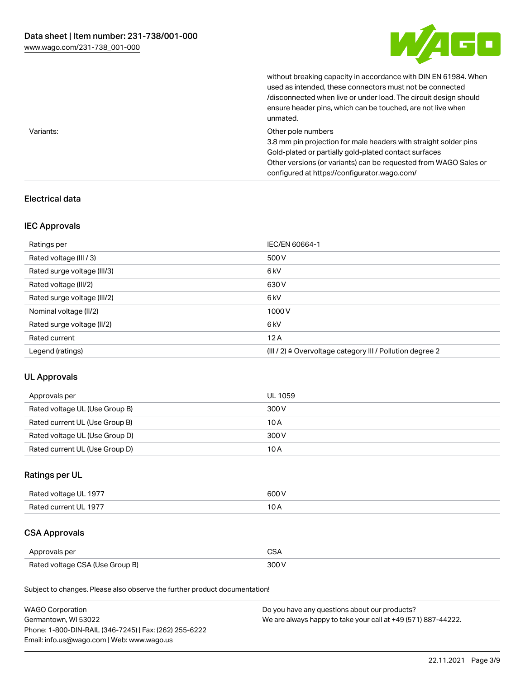

without breaking capacity in accordance with DIN EN 61984. When

|           | used as intended, these connectors must not be connected<br>/disconnected when live or under load. The circuit design should<br>ensure header pins, which can be touched, are not live when<br>unmated.                                                             |
|-----------|---------------------------------------------------------------------------------------------------------------------------------------------------------------------------------------------------------------------------------------------------------------------|
| Variants: | Other pole numbers<br>3.8 mm pin projection for male headers with straight solder pins<br>Gold-plated or partially gold-plated contact surfaces<br>Other versions (or variants) can be requested from WAGO Sales or<br>configured at https://configurator.wago.com/ |

## Electrical data

## IEC Approvals

| Ratings per                 | IEC/EN 60664-1                                                        |
|-----------------------------|-----------------------------------------------------------------------|
| Rated voltage (III / 3)     | 500 V                                                                 |
| Rated surge voltage (III/3) | 6 <sub>kV</sub>                                                       |
| Rated voltage (III/2)       | 630 V                                                                 |
| Rated surge voltage (III/2) | 6 <sub>kV</sub>                                                       |
| Nominal voltage (II/2)      | 1000V                                                                 |
| Rated surge voltage (II/2)  | 6 <sub>kV</sub>                                                       |
| Rated current               | 12A                                                                   |
| Legend (ratings)            | $(III / 2)$ $\triangle$ Overvoltage category III / Pollution degree 2 |

## UL Approvals

| Approvals per                  | UL 1059 |
|--------------------------------|---------|
| Rated voltage UL (Use Group B) | 300 V   |
| Rated current UL (Use Group B) | 10 A    |
| Rated voltage UL (Use Group D) | 300 V   |
| Rated current UL (Use Group D) | 10 A    |

## Ratings per UL

| Rated voltage UL 1977 | 600 V |
|-----------------------|-------|
| Rated current UL 1977 |       |

## CSA Approvals

| Approvals per                   | $\sim$ |
|---------------------------------|--------|
| Rated voltage CSA (Use Group B) | 300 V  |

| <b>WAGO Corporation</b>                                | Do you have any questions about our products?                 |
|--------------------------------------------------------|---------------------------------------------------------------|
| Germantown, WI 53022                                   | We are always happy to take your call at +49 (571) 887-44222. |
| Phone: 1-800-DIN-RAIL (346-7245)   Fax: (262) 255-6222 |                                                               |
| Email: info.us@wago.com   Web: www.wago.us             |                                                               |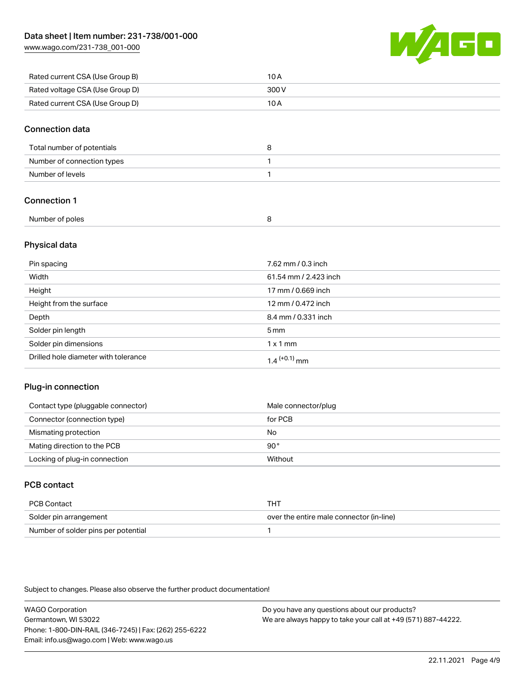[www.wago.com/231-738\\_001-000](http://www.wago.com/231-738_001-000)



| Rated current CSA (Use Group B) | 10 A  |
|---------------------------------|-------|
| Rated voltage CSA (Use Group D) | 300 V |
| Rated current CSA (Use Group D) | 10 A  |

## Connection data

| Total number of potentials |  |
|----------------------------|--|
| Number of connection types |  |
| Number of levels           |  |

## Connection 1

| Number of poles |  |
|-----------------|--|

## Physical data

| Pin spacing                          | 7.62 mm / 0.3 inch    |
|--------------------------------------|-----------------------|
| Width                                | 61.54 mm / 2.423 inch |
| Height                               | 17 mm / 0.669 inch    |
| Height from the surface              | 12 mm / 0.472 inch    |
| Depth                                | 8.4 mm / 0.331 inch   |
| Solder pin length                    | $5 \,\mathrm{mm}$     |
| Solder pin dimensions                | $1 \times 1$ mm       |
| Drilled hole diameter with tolerance | $1.4$ $(+0.1)$ mm     |

## Plug-in connection

| Contact type (pluggable connector) | Male connector/plug |
|------------------------------------|---------------------|
| Connector (connection type)        | for PCB             |
| Mismating protection               | No                  |
| Mating direction to the PCB        | 90°                 |
| Locking of plug-in connection      | Without             |

## PCB contact

| PCB Contact                         | тнт                                      |
|-------------------------------------|------------------------------------------|
| Solder pin arrangement              | over the entire male connector (in-line) |
| Number of solder pins per potential |                                          |

Subject to changes. Please also observe the further product documentation!

WAGO Corporation Germantown, WI 53022 Phone: 1-800-DIN-RAIL (346-7245) | Fax: (262) 255-6222 Email: info.us@wago.com | Web: www.wago.us Do you have any questions about our products? We are always happy to take your call at +49 (571) 887-44222.

22.11.2021 Page 4/9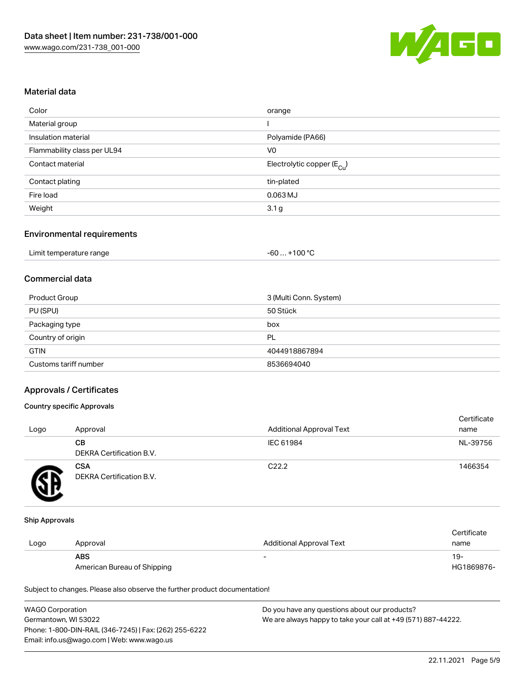

## Material data

| orange                                 |
|----------------------------------------|
|                                        |
| Polyamide (PA66)                       |
| V <sub>0</sub>                         |
| Electrolytic copper (E <sub>Cu</sub> ) |
| tin-plated                             |
| $0.063$ MJ                             |
| 3.1 <sub>g</sub>                       |
|                                        |

## Environmental requirements

| Limit temperature range | $+100 °C$<br>-60 |
|-------------------------|------------------|
|-------------------------|------------------|

## Commercial data

| Product Group         | 3 (Multi Conn. System) |
|-----------------------|------------------------|
| PU (SPU)              | 50 Stück               |
| Packaging type        | box                    |
| Country of origin     | PL                     |
| <b>GTIN</b>           | 4044918867894          |
| Customs tariff number | 8536694040             |

## Approvals / Certificates

## Country specific Approvals

| Logo | Approval                               | <b>Additional Approval Text</b> | Certificate<br>name |
|------|----------------------------------------|---------------------------------|---------------------|
|      | CВ<br><b>DEKRA Certification B.V.</b>  | IEC 61984                       | NL-39756            |
|      | <b>CSA</b><br>DEKRA Certification B.V. | C <sub>22.2</sub>               | 1466354             |

#### Ship Approvals

|      |                             |                          | Certificate |
|------|-----------------------------|--------------------------|-------------|
| Logo | Approval                    | Additional Approval Text | name        |
|      | <b>ABS</b>                  |                          | 19-         |
|      | American Bureau of Shipping |                          | HG1869876-  |

| <b>WAGO Corporation</b>                                | Do you have any questions about our products?                 |
|--------------------------------------------------------|---------------------------------------------------------------|
| Germantown, WI 53022                                   | We are always happy to take your call at +49 (571) 887-44222. |
| Phone: 1-800-DIN-RAIL (346-7245)   Fax: (262) 255-6222 |                                                               |
| Email: info.us@wago.com   Web: www.wago.us             |                                                               |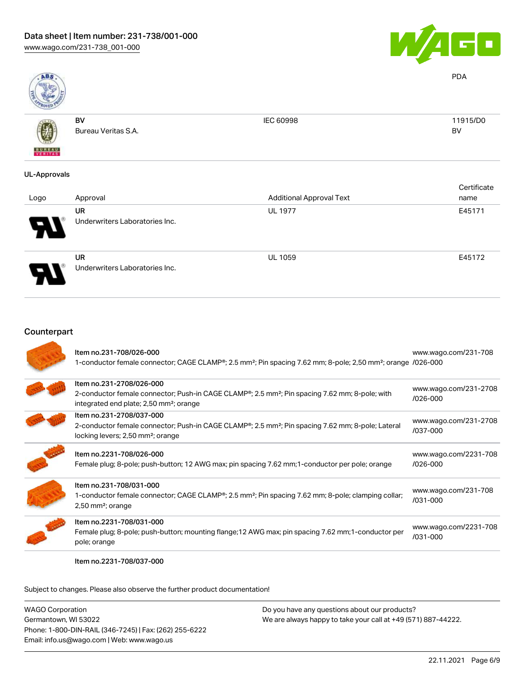

PDA

BV



BV Bureau Veritas S.A. IEC 60998 11915/D0

## UL-Approvals

**BUREAU** 

| Logo | Approval                                    | <b>Additional Approval Text</b> | Certificate<br>name |
|------|---------------------------------------------|---------------------------------|---------------------|
| P.   | <b>UR</b><br>Underwriters Laboratories Inc. | <b>UL 1977</b>                  | E45171              |
|      | <b>UR</b><br>Underwriters Laboratories Inc. | <b>UL 1059</b>                  | E45172              |



| Item no.231-708/026-000                                                                                                                                                        | www.wago.com/231-708  |
|--------------------------------------------------------------------------------------------------------------------------------------------------------------------------------|-----------------------|
| 1-conductor female connector; CAGE CLAMP®; 2.5 mm <sup>2</sup> ; Pin spacing 7.62 mm; 8-pole; 2,50 mm <sup>2</sup> ; orange /026-000                                           |                       |
| Item no.231-2708/026-000                                                                                                                                                       | www.wago.com/231-2708 |
| 2-conductor female connector; Push-in CAGE CLAMP <sup>®</sup> ; 2.5 mm <sup>2</sup> ; Pin spacing 7.62 mm; 8-pole; with<br>integrated end plate; 2,50 mm <sup>2</sup> ; orange | $/026 - 000$          |
| Item no.231-2708/037-000                                                                                                                                                       | www.wago.com/231-2708 |
| 2-conductor female connector; Push-in CAGE CLAMP®; 2.5 mm <sup>2</sup> ; Pin spacing 7.62 mm; 8-pole; Lateral<br>locking levers; 2,50 mm <sup>2</sup> ; orange                 | $/037 - 000$          |
| Item no.2231-708/026-000                                                                                                                                                       | www.wago.com/2231-708 |
| Female plug; 8-pole; push-button; 12 AWG max; pin spacing 7.62 mm; 1-conductor per pole; orange                                                                                | /026-000              |
| Item no.231-708/031-000                                                                                                                                                        | www.wago.com/231-708  |
| 1-conductor female connector; CAGE CLAMP®; 2.5 mm <sup>2</sup> ; Pin spacing 7.62 mm; 8-pole; clamping collar;<br>$2,50$ mm <sup>2</sup> ; orange                              | $/031 - 000$          |
| Item no.2231-708/031-000                                                                                                                                                       | www.wago.com/2231-708 |
| Female plug; 8-pole; push-button; mounting flange; 12 AWG max; pin spacing 7.62 mm; 1-conductor per<br>pole; orange                                                            | /031-000              |
| Item no.2231-708/037-000                                                                                                                                                       |                       |

| <b>WAGO Corporation</b>                                | Do you have any questions about our products?                 |
|--------------------------------------------------------|---------------------------------------------------------------|
| Germantown, WI 53022                                   | We are always happy to take your call at +49 (571) 887-44222. |
| Phone: 1-800-DIN-RAIL (346-7245)   Fax: (262) 255-6222 |                                                               |
| Email: info.us@wago.com   Web: www.wago.us             |                                                               |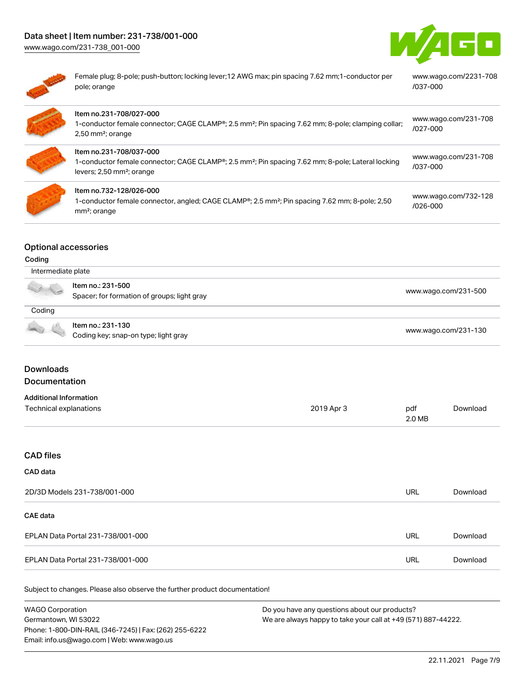[www.wago.com/231-738\\_001-000](http://www.wago.com/231-738_001-000)





| Female plug; 8-pole; push-button; locking lever; 12 AWG max; pin spacing 7.62 mm; 1-conductor per | www.wago.com/2231-708 |
|---------------------------------------------------------------------------------------------------|-----------------------|
| pole; orange                                                                                      | /037-000              |
|                                                                                                   |                       |

| Item no.231-708/027-000<br>1-conductor female connector; CAGE CLAMP®; 2.5 mm <sup>2</sup> ; Pin spacing 7.62 mm; 8-pole; clamping collar;<br>$2,50$ mm <sup>2</sup> ; orange | www.wago.com/231-708<br>$1027 - 000$ |
|------------------------------------------------------------------------------------------------------------------------------------------------------------------------------|--------------------------------------|
| Item no.231-708/037-000<br>1-conductor female connector; CAGE CLAMP®; 2.5 mm²; Pin spacing 7.62 mm; 8-pole; Lateral locking<br>levers; 2,50 mm <sup>2</sup> ; orange         | www.wago.com/231-708<br>$/037 - 000$ |
| Item no.732-128/026-000<br>1-conductor female connector, angled; CAGE CLAMP®; 2.5 mm <sup>2</sup> ; Pin spacing 7.62 mm; 8-pole; 2,50<br>mm <sup>2</sup> ; orange            | www.wago.com/732-128<br>/026-000     |

## Optional accessories

## Coding

| Intermediate plate                         |                                                                  |                      |  |  |
|--------------------------------------------|------------------------------------------------------------------|----------------------|--|--|
| a de                                       | Item no.: 231-500<br>Spacer; for formation of groups; light gray | www.wago.com/231-500 |  |  |
| Coding                                     |                                                                  |                      |  |  |
| <b>Contract Contract Contract Contract</b> | Item no.: 231-130<br>Coding key; snap-on type; light gray        | www.wago.com/231-130 |  |  |

# Downloads

# Documentation

| <b>Additional Information</b> |            |        |          |
|-------------------------------|------------|--------|----------|
| Technical explanations        | 2019 Apr 3 | pdf    | Download |
|                               |            | 2.0 MB |          |

## CAD files

## CAD data

| 2D/3D Models 231-738/001-000      | <b>URL</b> | Download |
|-----------------------------------|------------|----------|
| CAE data                          |            |          |
| EPLAN Data Portal 231-738/001-000 | URL        | Download |
| EPLAN Data Portal 231-738/001-000 | URL        | Download |

| WAGO Corporation                                       | Do you have any questions about our products?                 |
|--------------------------------------------------------|---------------------------------------------------------------|
| Germantown. WI 53022                                   | We are always happy to take your call at +49 (571) 887-44222. |
| Phone: 1-800-DIN-RAIL (346-7245)   Fax: (262) 255-6222 |                                                               |
| Email: info.us@wago.com   Web: www.wago.us             |                                                               |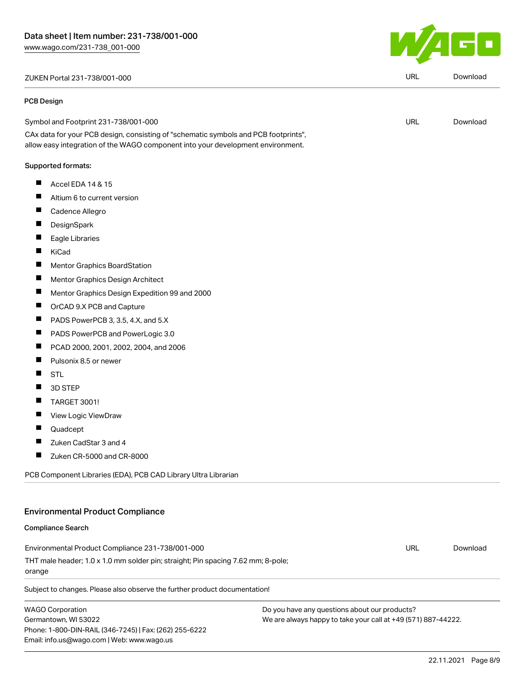## ZUKEN Portal 231-738/001-000 URL [Download](https://www.wago.com/global/d/Zuken_URLS_231-738_001-000)

#### PCB Design

| Symbol and Footprint 231-738/001-000 | URL | Download |
|--------------------------------------|-----|----------|
| ____<br>.<br>_ _ _ _                 |     |          |

CAx data for your PCB design, consisting of "schematic symbols and PCB footprints", allow easy integration of the WAGO component into your development environment.

### Supported formats:

- $\blacksquare$ Accel EDA 14 & 15
- $\blacksquare$ Altium 6 to current version
- П Cadence Allegro
- П **DesignSpark**
- П Eagle Libraries
- П KiCad
- $\blacksquare$ Mentor Graphics BoardStation
- $\blacksquare$ Mentor Graphics Design Architect
- $\blacksquare$ Mentor Graphics Design Expedition 99 and 2000
- $\blacksquare$ OrCAD 9.X PCB and Capture
- $\blacksquare$ PADS PowerPCB 3, 3.5, 4.X, and 5.X
- $\blacksquare$ PADS PowerPCB and PowerLogic 3.0
- П PCAD 2000, 2001, 2002, 2004, and 2006
- $\blacksquare$ Pulsonix 8.5 or newer
- $\blacksquare$ STL
- $\blacksquare$ 3D STEP
- $\blacksquare$ TARGET 3001!
- $\blacksquare$ View Logic ViewDraw
- $\blacksquare$ Quadcept
- $\blacksquare$ Zuken CadStar 3 and 4
- $\blacksquare$ Zuken CR-5000 and CR-8000

PCB Component Libraries (EDA), PCB CAD Library Ultra Librarian

## Environmental Product Compliance

### Compliance Search

Environmental Product Compliance 231-738/001-000 THT male header; 1.0 x 1.0 mm solder pin; straight; Pin spacing 7.62 mm; 8-pole; orange

Subject to changes. Please also observe the further product documentation!

WAGO Corporation Germantown, WI 53022 Phone: 1-800-DIN-RAIL (346-7245) | Fax: (262) 255-6222 Email: info.us@wago.com | Web: www.wago.us

Do you have any questions about our products? We are always happy to take your call at +49 (571) 887-44222.



URL [Download](https://www.wago.com/global/d/ComplianceLinkMediaContainer_231-738_001-000)